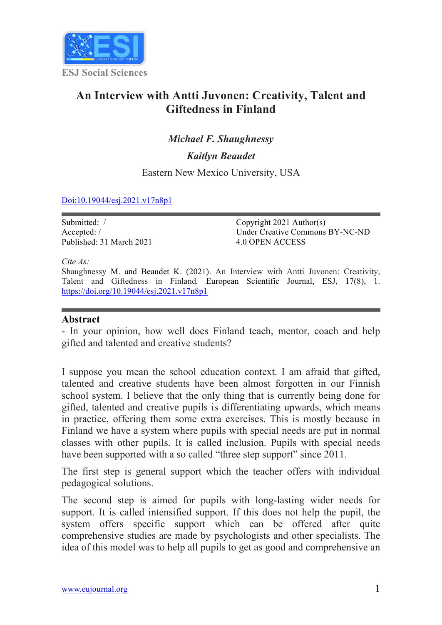

# **An Interview with Antti Juvonen: Creativity, Talent and Giftedness in Finland**

## *Michael F. Shaughnessy*

*Kaitlyn Beaudet*

Eastern New Mexico University, USA

#### Doi:10.19044/esj.2021.v17n8p1

| Submitted: /             | Copyright $2021$ Author(s)      |
|--------------------------|---------------------------------|
| Accepted:/               | Under Creative Commons BY-NC-ND |
| Published: 31 March 2021 | 4.0 OPEN ACCESS                 |

*Cite As:*

Shaughnessy M. and Beaudet K. (2021). An Interview with Antti Juvonen: Creativity, Talent and Giftedness in Finland*.* European Scientific Journal, ESJ, 17(8), 1. https://doi.org/10.19044/esj.2021.v17n8p1

#### **Abstract**

- In your opinion, how well does Finland teach, mentor, coach and help gifted and talented and creative students?

I suppose you mean the school education context. I am afraid that gifted, talented and creative students have been almost forgotten in our Finnish school system. I believe that the only thing that is currently being done for gifted, talented and creative pupils is differentiating upwards, which means in practice, offering them some extra exercises. This is mostly because in Finland we have a system where pupils with special needs are put in normal classes with other pupils. It is called inclusion. Pupils with special needs have been supported with a so called "three step support" since 2011.

The first step is general support which the teacher offers with individual pedagogical solutions.

The second step is aimed for pupils with long-lasting wider needs for support. It is called intensified support. If this does not help the pupil, the system offers specific support which can be offered after quite comprehensive studies are made by psychologists and other specialists. The idea of this model was to help all pupils to get as good and comprehensive an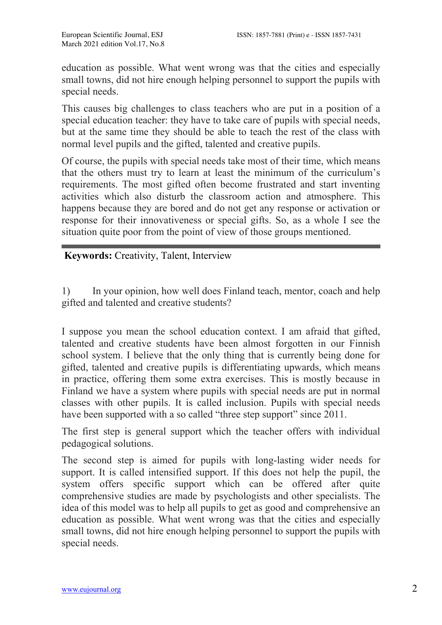education as possible. What went wrong was that the cities and especially small towns, did not hire enough helping personnel to support the pupils with special needs.

This causes big challenges to class teachers who are put in a position of a special education teacher: they have to take care of pupils with special needs, but at the same time they should be able to teach the rest of the class with normal level pupils and the gifted, talented and creative pupils.

Of course, the pupils with special needs take most of their time, which means that the others must try to learn at least the minimum of the curriculum's requirements. The most gifted often become frustrated and start inventing activities which also disturb the classroom action and atmosphere. This happens because they are bored and do not get any response or activation or response for their innovativeness or special gifts. So, as a whole I see the situation quite poor from the point of view of those groups mentioned.

**Keywords:** Creativity, Talent, Interview

1) In your opinion, how well does Finland teach, mentor, coach and help gifted and talented and creative students?

I suppose you mean the school education context. I am afraid that gifted, talented and creative students have been almost forgotten in our Finnish school system. I believe that the only thing that is currently being done for gifted, talented and creative pupils is differentiating upwards, which means in practice, offering them some extra exercises. This is mostly because in Finland we have a system where pupils with special needs are put in normal classes with other pupils. It is called inclusion. Pupils with special needs have been supported with a so called "three step support" since 2011.

The first step is general support which the teacher offers with individual pedagogical solutions.

The second step is aimed for pupils with long-lasting wider needs for support. It is called intensified support. If this does not help the pupil, the system offers specific support which can be offered after quite comprehensive studies are made by psychologists and other specialists. The idea of this model was to help all pupils to get as good and comprehensive an education as possible. What went wrong was that the cities and especially small towns, did not hire enough helping personnel to support the pupils with special needs.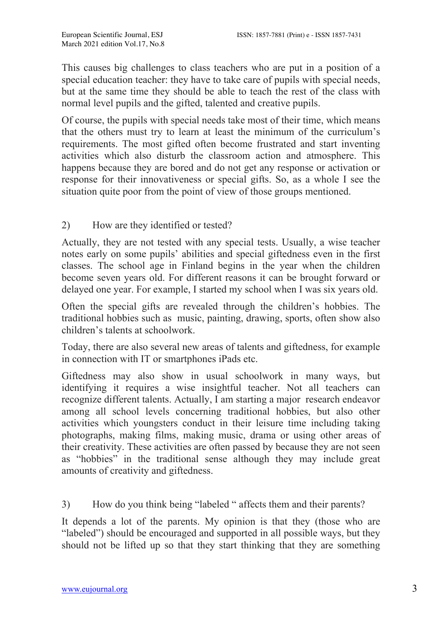This causes big challenges to class teachers who are put in a position of a special education teacher: they have to take care of pupils with special needs, but at the same time they should be able to teach the rest of the class with normal level pupils and the gifted, talented and creative pupils.

Of course, the pupils with special needs take most of their time, which means that the others must try to learn at least the minimum of the curriculum's requirements. The most gifted often become frustrated and start inventing activities which also disturb the classroom action and atmosphere. This happens because they are bored and do not get any response or activation or response for their innovativeness or special gifts. So, as a whole I see the situation quite poor from the point of view of those groups mentioned.

2) How are they identified or tested?

Actually, they are not tested with any special tests. Usually, a wise teacher notes early on some pupils' abilities and special giftedness even in the first classes. The school age in Finland begins in the year when the children become seven years old. For different reasons it can be brought forward or delayed one year. For example, I started my school when I was six years old.

Often the special gifts are revealed through the children's hobbies. The traditional hobbies such as music, painting, drawing, sports, often show also children's talents at schoolwork.

Today, there are also several new areas of talents and giftedness, for example in connection with IT or smartphones iPads etc.

Giftedness may also show in usual schoolwork in many ways, but identifying it requires a wise insightful teacher. Not all teachers can recognize different talents. Actually, I am starting a major research endeavor among all school levels concerning traditional hobbies, but also other activities which youngsters conduct in their leisure time including taking photographs, making films, making music, drama or using other areas of their creativity. These activities are often passed by because they are not seen as "hobbies" in the traditional sense although they may include great amounts of creativity and giftedness.

3) How do you think being "labeled " affects them and their parents?

It depends a lot of the parents. My opinion is that they (those who are "labeled") should be encouraged and supported in all possible ways, but they should not be lifted up so that they start thinking that they are something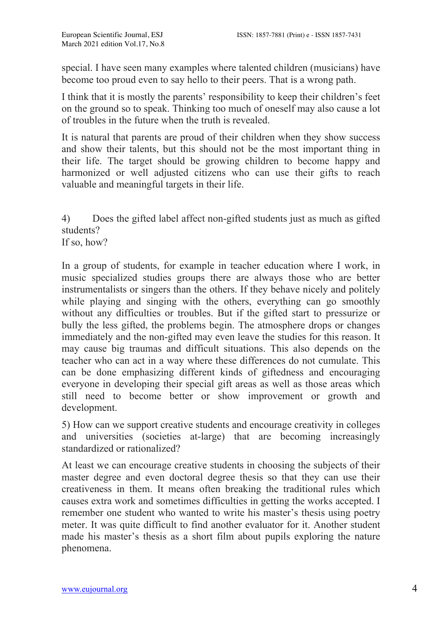special. I have seen many examples where talented children (musicians) have become too proud even to say hello to their peers. That is a wrong path.

I think that it is mostly the parents' responsibility to keep their children's feet on the ground so to speak. Thinking too much of oneself may also cause a lot of troubles in the future when the truth is revealed.

It is natural that parents are proud of their children when they show success and show their talents, but this should not be the most important thing in their life. The target should be growing children to become happy and harmonized or well adjusted citizens who can use their gifts to reach valuable and meaningful targets in their life.

4) Does the gifted label affect non-gifted students just as much as gifted students? If so, how?

In a group of students, for example in teacher education where I work, in music specialized studies groups there are always those who are better instrumentalists or singers than the others. If they behave nicely and politely while playing and singing with the others, everything can go smoothly without any difficulties or troubles. But if the gifted start to pressurize or bully the less gifted, the problems begin. The atmosphere drops or changes immediately and the non-gifted may even leave the studies for this reason. It may cause big traumas and difficult situations. This also depends on the teacher who can act in a way where these differences do not cumulate. This can be done emphasizing different kinds of giftedness and encouraging everyone in developing their special gift areas as well as those areas which still need to become better or show improvement or growth and development.

5) How can we support creative students and encourage creativity in colleges and universities (societies at-large) that are becoming increasingly standardized or rationalized?

At least we can encourage creative students in choosing the subjects of their master degree and even doctoral degree thesis so that they can use their creativeness in them. It means often breaking the traditional rules which causes extra work and sometimes difficulties in getting the works accepted. I remember one student who wanted to write his master's thesis using poetry meter. It was quite difficult to find another evaluator for it. Another student made his master's thesis as a short film about pupils exploring the nature phenomena.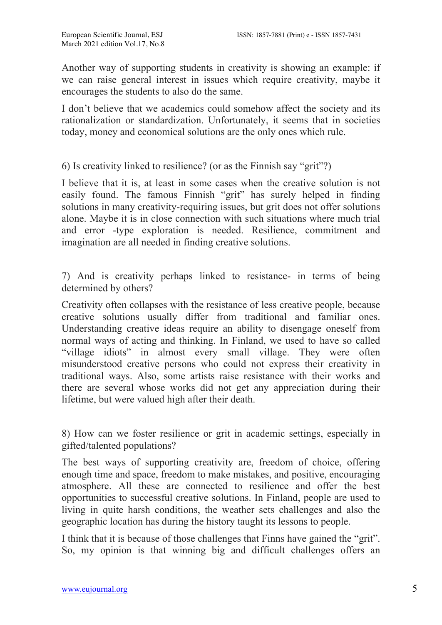Another way of supporting students in creativity is showing an example: if we can raise general interest in issues which require creativity, maybe it encourages the students to also do the same.

I don't believe that we academics could somehow affect the society and its rationalization or standardization. Unfortunately, it seems that in societies today, money and economical solutions are the only ones which rule.

6) Is creativity linked to resilience? (or as the Finnish say "grit"?)

I believe that it is, at least in some cases when the creative solution is not easily found. The famous Finnish "grit" has surely helped in finding solutions in many creativity-requiring issues, but grit does not offer solutions alone. Maybe it is in close connection with such situations where much trial and error -type exploration is needed. Resilience, commitment and imagination are all needed in finding creative solutions.

7) And is creativity perhaps linked to resistance- in terms of being determined by others?

Creativity often collapses with the resistance of less creative people, because creative solutions usually differ from traditional and familiar ones. Understanding creative ideas require an ability to disengage oneself from normal ways of acting and thinking. In Finland, we used to have so called "village idiots" in almost every small village. They were often misunderstood creative persons who could not express their creativity in traditional ways. Also, some artists raise resistance with their works and there are several whose works did not get any appreciation during their lifetime, but were valued high after their death.

8) How can we foster resilience or grit in academic settings, especially in gifted/talented populations?

The best ways of supporting creativity are, freedom of choice, offering enough time and space, freedom to make mistakes, and positive, encouraging atmosphere. All these are connected to resilience and offer the best opportunities to successful creative solutions. In Finland, people are used to living in quite harsh conditions, the weather sets challenges and also the geographic location has during the history taught its lessons to people.

I think that it is because of those challenges that Finns have gained the "grit". So, my opinion is that winning big and difficult challenges offers an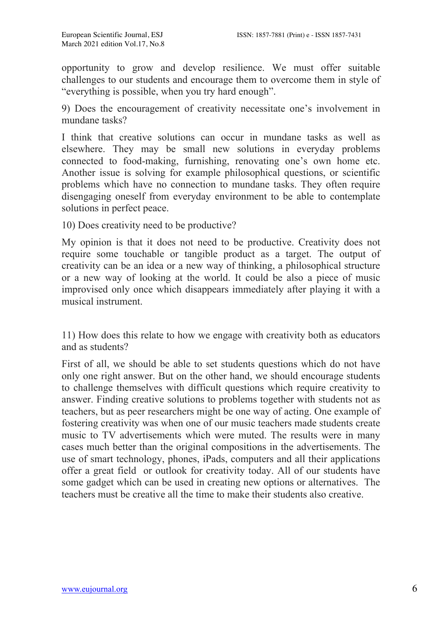opportunity to grow and develop resilience. We must offer suitable challenges to our students and encourage them to overcome them in style of "everything is possible, when you try hard enough".

9) Does the encouragement of creativity necessitate one's involvement in mundane tasks?

I think that creative solutions can occur in mundane tasks as well as elsewhere. They may be small new solutions in everyday problems connected to food-making, furnishing, renovating one's own home etc. Another issue is solving for example philosophical questions, or scientific problems which have no connection to mundane tasks. They often require disengaging oneself from everyday environment to be able to contemplate solutions in perfect peace.

10) Does creativity need to be productive?

My opinion is that it does not need to be productive. Creativity does not require some touchable or tangible product as a target. The output of creativity can be an idea or a new way of thinking, a philosophical structure or a new way of looking at the world. It could be also a piece of music improvised only once which disappears immediately after playing it with a musical instrument.

11) How does this relate to how we engage with creativity both as educators and as students?

First of all, we should be able to set students questions which do not have only one right answer. But on the other hand, we should encourage students to challenge themselves with difficult questions which require creativity to answer. Finding creative solutions to problems together with students not as teachers, but as peer researchers might be one way of acting. One example of fostering creativity was when one of our music teachers made students create music to TV advertisements which were muted. The results were in many cases much better than the original compositions in the advertisements. The use of smart technology, phones, iPads, computers and all their applications offer a great field or outlook for creativity today. All of our students have some gadget which can be used in creating new options or alternatives. The teachers must be creative all the time to make their students also creative.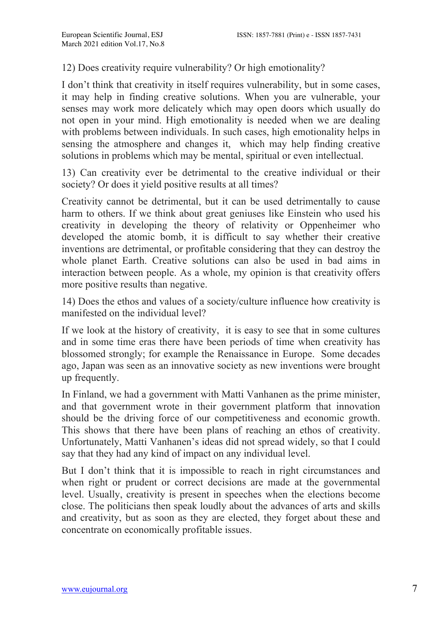### 12) Does creativity require vulnerability? Or high emotionality?

I don't think that creativity in itself requires vulnerability, but in some cases, it may help in finding creative solutions. When you are vulnerable, your senses may work more delicately which may open doors which usually do not open in your mind. High emotionality is needed when we are dealing with problems between individuals. In such cases, high emotionality helps in sensing the atmosphere and changes it, which may help finding creative solutions in problems which may be mental, spiritual or even intellectual.

13) Can creativity ever be detrimental to the creative individual or their society? Or does it yield positive results at all times?

Creativity cannot be detrimental, but it can be used detrimentally to cause harm to others. If we think about great geniuses like Einstein who used his creativity in developing the theory of relativity or Oppenheimer who developed the atomic bomb, it is difficult to say whether their creative inventions are detrimental, or profitable considering that they can destroy the whole planet Earth. Creative solutions can also be used in bad aims in interaction between people. As a whole, my opinion is that creativity offers more positive results than negative.

14) Does the ethos and values of a society/culture influence how creativity is manifested on the individual level?

If we look at the history of creativity, it is easy to see that in some cultures and in some time eras there have been periods of time when creativity has blossomed strongly; for example the Renaissance in Europe. Some decades ago, Japan was seen as an innovative society as new inventions were brought up frequently.

In Finland, we had a government with Matti Vanhanen as the prime minister, and that government wrote in their government platform that innovation should be the driving force of our competitiveness and economic growth. This shows that there have been plans of reaching an ethos of creativity. Unfortunately, Matti Vanhanen's ideas did not spread widely, so that I could say that they had any kind of impact on any individual level.

But I don't think that it is impossible to reach in right circumstances and when right or prudent or correct decisions are made at the governmental level. Usually, creativity is present in speeches when the elections become close. The politicians then speak loudly about the advances of arts and skills and creativity, but as soon as they are elected, they forget about these and concentrate on economically profitable issues.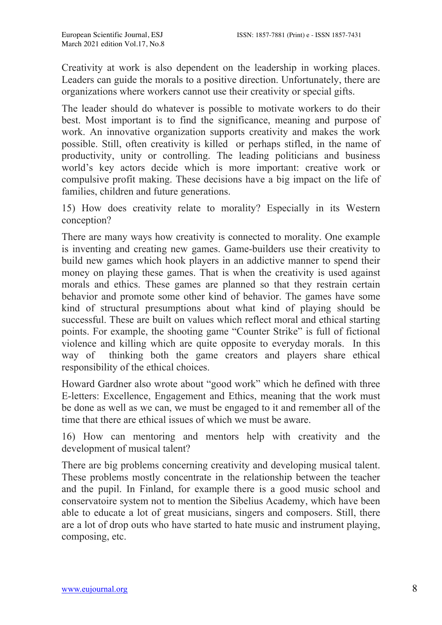Creativity at work is also dependent on the leadership in working places. Leaders can guide the morals to a positive direction. Unfortunately, there are organizations where workers cannot use their creativity or special gifts.

The leader should do whatever is possible to motivate workers to do their best. Most important is to find the significance, meaning and purpose of work. An innovative organization supports creativity and makes the work possible. Still, often creativity is killed or perhaps stifled, in the name of productivity, unity or controlling. The leading politicians and business world's key actors decide which is more important: creative work or compulsive profit making. These decisions have a big impact on the life of families, children and future generations.

15) How does creativity relate to morality? Especially in its Western conception?

There are many ways how creativity is connected to morality. One example is inventing and creating new games. Game-builders use their creativity to build new games which hook players in an addictive manner to spend their money on playing these games. That is when the creativity is used against morals and ethics. These games are planned so that they restrain certain behavior and promote some other kind of behavior. The games have some kind of structural presumptions about what kind of playing should be successful. These are built on values which reflect moral and ethical starting points. For example, the shooting game "Counter Strike" is full of fictional violence and killing which are quite opposite to everyday morals. In this way of thinking both the game creators and players share ethical responsibility of the ethical choices.

Howard Gardner also wrote about "good work" which he defined with three E-letters: Excellence, Engagement and Ethics, meaning that the work must be done as well as we can, we must be engaged to it and remember all of the time that there are ethical issues of which we must be aware.

16) How can mentoring and mentors help with creativity and the development of musical talent?

There are big problems concerning creativity and developing musical talent. These problems mostly concentrate in the relationship between the teacher and the pupil. In Finland, for example there is a good music school and conservatoire system not to mention the Sibelius Academy, which have been able to educate a lot of great musicians, singers and composers. Still, there are a lot of drop outs who have started to hate music and instrument playing, composing, etc.